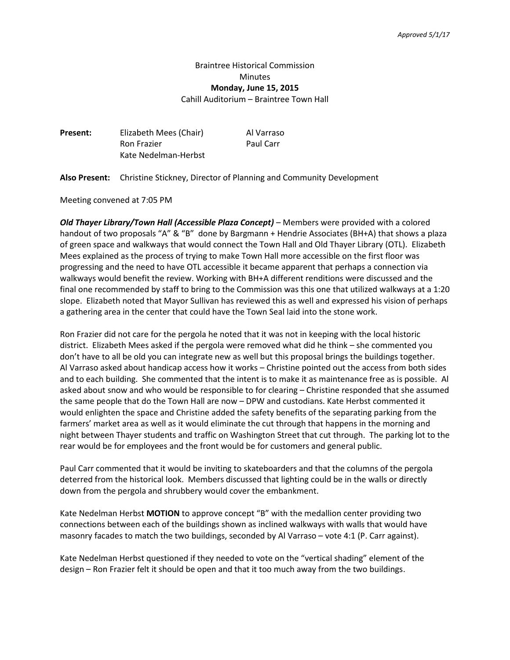# Braintree Historical Commission Minutes **Monday, June 15, 2015**

Cahill Auditorium – Braintree Town Hall

| Present: | Elizabeth Mees (Chair) | Al Varraso |
|----------|------------------------|------------|
|          | <b>Ron Frazier</b>     | Paul Carr  |
|          | Kate Nedelman-Herbst   |            |

**Also Present:** Christine Stickney, Director of Planning and Community Development

Meeting convened at 7:05 PM

*Old Thayer Library/Town Hall (Accessible Plaza Concept)* – Members were provided with a colored handout of two proposals "A" & "B" done by Bargmann + Hendrie Associates (BH+A) that shows a plaza of green space and walkways that would connect the Town Hall and Old Thayer Library (OTL). Elizabeth Mees explained as the process of trying to make Town Hall more accessible on the first floor was progressing and the need to have OTL accessible it became apparent that perhaps a connection via walkways would benefit the review. Working with BH+A different renditions were discussed and the final one recommended by staff to bring to the Commission was this one that utilized walkways at a 1:20 slope. Elizabeth noted that Mayor Sullivan has reviewed this as well and expressed his vision of perhaps a gathering area in the center that could have the Town Seal laid into the stone work.

Ron Frazier did not care for the pergola he noted that it was not in keeping with the local historic district. Elizabeth Mees asked if the pergola were removed what did he think – she commented you don't have to all be old you can integrate new as well but this proposal brings the buildings together. Al Varraso asked about handicap access how it works – Christine pointed out the access from both sides and to each building. She commented that the intent is to make it as maintenance free as is possible. Al asked about snow and who would be responsible to for clearing – Christine responded that she assumed the same people that do the Town Hall are now – DPW and custodians. Kate Herbst commented it would enlighten the space and Christine added the safety benefits of the separating parking from the farmers' market area as well as it would eliminate the cut through that happens in the morning and night between Thayer students and traffic on Washington Street that cut through. The parking lot to the rear would be for employees and the front would be for customers and general public.

Paul Carr commented that it would be inviting to skateboarders and that the columns of the pergola deterred from the historical look. Members discussed that lighting could be in the walls or directly down from the pergola and shrubbery would cover the embankment.

Kate Nedelman Herbst **MOTION** to approve concept "B" with the medallion center providing two connections between each of the buildings shown as inclined walkways with walls that would have masonry facades to match the two buildings, seconded by Al Varraso – vote 4:1 (P. Carr against).

Kate Nedelman Herbst questioned if they needed to vote on the "vertical shading" element of the design – Ron Frazier felt it should be open and that it too much away from the two buildings.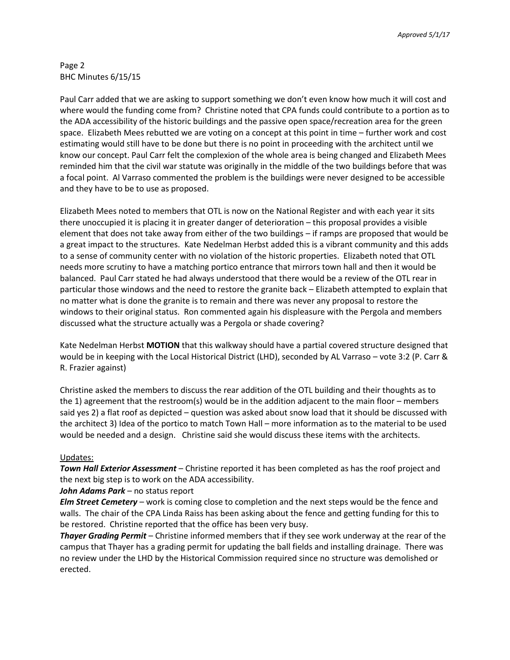## Page 2 BHC Minutes 6/15/15

Paul Carr added that we are asking to support something we don't even know how much it will cost and where would the funding come from? Christine noted that CPA funds could contribute to a portion as to the ADA accessibility of the historic buildings and the passive open space/recreation area for the green space. Elizabeth Mees rebutted we are voting on a concept at this point in time – further work and cost estimating would still have to be done but there is no point in proceeding with the architect until we know our concept. Paul Carr felt the complexion of the whole area is being changed and Elizabeth Mees reminded him that the civil war statute was originally in the middle of the two buildings before that was a focal point. Al Varraso commented the problem is the buildings were never designed to be accessible and they have to be to use as proposed.

Elizabeth Mees noted to members that OTL is now on the National Register and with each year it sits there unoccupied it is placing it in greater danger of deterioration – this proposal provides a visible element that does not take away from either of the two buildings – if ramps are proposed that would be a great impact to the structures. Kate Nedelman Herbst added this is a vibrant community and this adds to a sense of community center with no violation of the historic properties. Elizabeth noted that OTL needs more scrutiny to have a matching portico entrance that mirrors town hall and then it would be balanced. Paul Carr stated he had always understood that there would be a review of the OTL rear in particular those windows and the need to restore the granite back – Elizabeth attempted to explain that no matter what is done the granite is to remain and there was never any proposal to restore the windows to their original status. Ron commented again his displeasure with the Pergola and members discussed what the structure actually was a Pergola or shade covering?

Kate Nedelman Herbst **MOTION** that this walkway should have a partial covered structure designed that would be in keeping with the Local Historical District (LHD), seconded by AL Varraso – vote 3:2 (P. Carr & R. Frazier against)

Christine asked the members to discuss the rear addition of the OTL building and their thoughts as to the 1) agreement that the restroom(s) would be in the addition adjacent to the main floor – members said yes 2) a flat roof as depicted – question was asked about snow load that it should be discussed with the architect 3) Idea of the portico to match Town Hall – more information as to the material to be used would be needed and a design. Christine said she would discuss these items with the architects.

## Updates:

*Town Hall Exterior Assessment* – Christine reported it has been completed as has the roof project and the next big step is to work on the ADA accessibility.

## *John Adams Park* – no status report

*Elm Street Cemetery* – work is coming close to completion and the next steps would be the fence and walls. The chair of the CPA Linda Raiss has been asking about the fence and getting funding for this to be restored. Christine reported that the office has been very busy.

*Thayer Grading Permit* – Christine informed members that if they see work underway at the rear of the campus that Thayer has a grading permit for updating the ball fields and installing drainage. There was no review under the LHD by the Historical Commission required since no structure was demolished or erected.